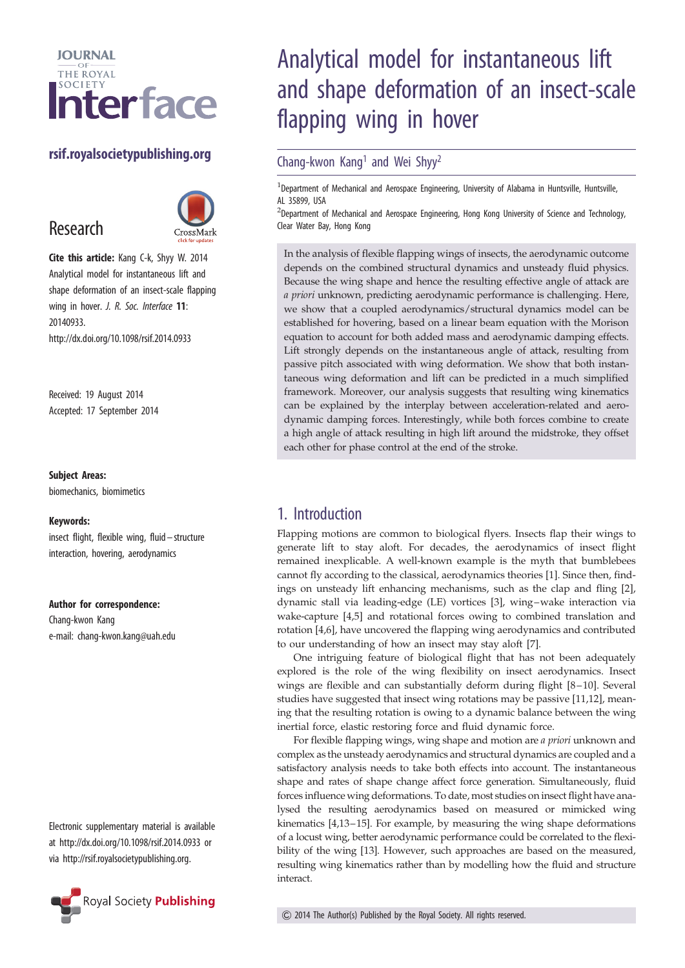

## rsif.royalsocietypublishing.org

# Research



Cite this article: Kang C-k, Shyy W. 2014 Analytical model for instantaneous lift and shape deformation of an insect-scale flapping wing in hover. J. R. Soc. Interface 11: 20140933. http://dx.doi.org/10.1098/rsif.2014.0933

Received: 19 August 2014 Accepted: 17 September 2014

#### Subject Areas:

biomechanics, biomimetics

#### Keywords:

insect flight, flexible wing, fluid –structure interaction, hovering, aerodynamics

#### Author for correspondence:

Chang-kwon Kang e-mail: [chang-kwon.kang@uah.edu](mailto:chang-kwon.kang@uah.edu)

Electronic supplementary material is available at<http://dx.doi.org/10.1098/rsif.2014.0933> or via<http://rsif.royalsocietypublishing.org>.



# Analytical model for instantaneous lift and shape deformation of an insect-scale flapping wing in hover

### Chang-kwon Kang<sup>1</sup> and Wei Shyy<sup>2</sup>

<sup>1</sup>Department of Mechanical and Aerospace Engineering, University of Alabama in Huntsville, Huntsville, AL 35899, USA

 $2$ Department of Mechanical and Aerospace Engineering, Hong Kong University of Science and Technology, Clear Water Bay, Hong Kong

In the analysis of flexible flapping wings of insects, the aerodynamic outcome depends on the combined structural dynamics and unsteady fluid physics. Because the wing shape and hence the resulting effective angle of attack are a priori unknown, predicting aerodynamic performance is challenging. Here, we show that a coupled aerodynamics/structural dynamics model can be established for hovering, based on a linear beam equation with the Morison equation to account for both added mass and aerodynamic damping effects. Lift strongly depends on the instantaneous angle of attack, resulting from passive pitch associated with wing deformation. We show that both instantaneous wing deformation and lift can be predicted in a much simplified framework. Moreover, our analysis suggests that resulting wing kinematics can be explained by the interplay between acceleration-related and aerodynamic damping forces. Interestingly, while both forces combine to create a high angle of attack resulting in high lift around the midstroke, they offset each other for phase control at the end of the stroke.

## 1. Introduction

Flapping motions are common to biological flyers. Insects flap their wings to generate lift to stay aloft. For decades, the aerodynamics of insect flight remained inexplicable. A well-known example is the myth that bumblebees cannot fly according to the classical, aerodynamics theories [\[1\]](#page-8-0). Since then, findings on unsteady lift enhancing mechanisms, such as the clap and fling [\[2\]](#page-8-0), dynamic stall via leading-edge (LE) vortices [[3](#page-8-0)], wing–wake interaction via wake-capture [\[4,5](#page-8-0)] and rotational forces owing to combined translation and rotation [[4](#page-8-0),[6](#page-8-0)], have uncovered the flapping wing aerodynamics and contributed to our understanding of how an insect may stay aloft [[7](#page-8-0)].

One intriguing feature of biological flight that has not been adequately explored is the role of the wing flexibility on insect aerodynamics. Insect wings are flexible and can substantially deform during flight [[8](#page-8-0)–[10\]](#page-8-0). Several studies have suggested that insect wing rotations may be passive [\[11](#page-8-0),[12\]](#page-8-0), meaning that the resulting rotation is owing to a dynamic balance between the wing inertial force, elastic restoring force and fluid dynamic force.

For flexible flapping wings, wing shape and motion are a priori unknown and complex as the unsteady aerodynamics and structural dynamics are coupled and a satisfactory analysis needs to take both effects into account. The instantaneous shape and rates of shape change affect force generation. Simultaneously, fluid forces influence wing deformations. To date, most studies on insect flight have analysed the resulting aerodynamics based on measured or mimicked wing kinematics [\[4,13](#page-8-0)–[15\]](#page-8-0). For example, by measuring the wing shape deformations of a locust wing, better aerodynamic performance could be correlated to the flexibility of the wing [\[13](#page-8-0)]. However, such approaches are based on the measured, resulting wing kinematics rather than by modelling how the fluid and structure interact.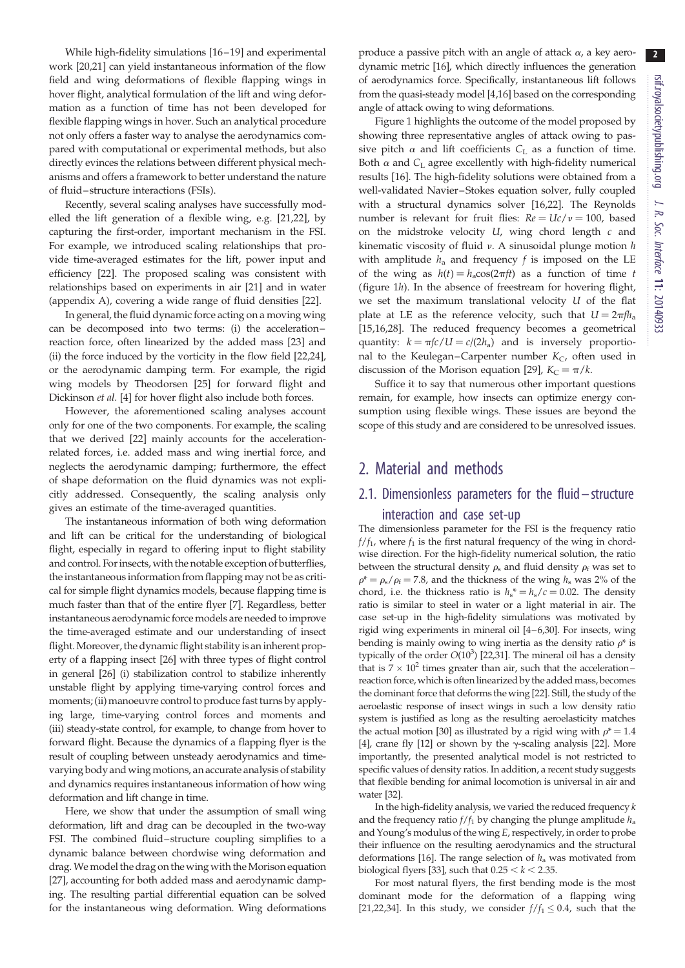While high-fidelity simulations [[16](#page-8-0)–[19](#page-8-0)] and experimental work [[20,21](#page-8-0)] can yield instantaneous information of the flow field and wing deformations of flexible flapping wings in hover flight, analytical formulation of the lift and wing deformation as a function of time has not been developed for flexible flapping wings in hover. Such an analytical procedure not only offers a faster way to analyse the aerodynamics compared with computational or experimental methods, but also directly evinces the relations between different physical mechanisms and offers a framework to better understand the nature of fluid–structure interactions (FSIs).

Recently, several scaling analyses have successfully modelled the lift generation of a flexible wing, e.g. [[21,22](#page-8-0)], by capturing the first-order, important mechanism in the FSI. For example, we introduced scaling relationships that provide time-averaged estimates for the lift, power input and efficiency [[22\]](#page-8-0). The proposed scaling was consistent with relationships based on experiments in air [\[21](#page-8-0)] and in water (appendix A), covering a wide range of fluid densities [\[22](#page-8-0)].

In general, the fluid dynamic force acting on a moving wing can be decomposed into two terms: (i) the acceleration– reaction force, often linearized by the added mass [[23\]](#page-8-0) and (ii) the force induced by the vorticity in the flow field [\[22,24](#page-8-0)], or the aerodynamic damping term. For example, the rigid wing models by Theodorsen [\[25](#page-8-0)] for forward flight and Dickinson et al. [\[4\]](#page-8-0) for hover flight also include both forces.

However, the aforementioned scaling analyses account only for one of the two components. For example, the scaling that we derived [[22](#page-8-0)] mainly accounts for the accelerationrelated forces, i.e. added mass and wing inertial force, and neglects the aerodynamic damping; furthermore, the effect of shape deformation on the fluid dynamics was not explicitly addressed. Consequently, the scaling analysis only gives an estimate of the time-averaged quantities.

The instantaneous information of both wing deformation and lift can be critical for the understanding of biological flight, especially in regard to offering input to flight stability and control. For insects, with the notable exception of butterflies, the instantaneous information from flapping may not be as critical for simple flight dynamics models, because flapping time is much faster than that of the entire flyer [\[7\]](#page-8-0). Regardless, better instantaneous aerodynamic force models are needed to improve the time-averaged estimate and our understanding of insect flight. Moreover, the dynamic flight stability is an inherent property of a flapping insect [[26](#page-8-0)] with three types of flight control in general [[26\]](#page-8-0) (i) stabilization control to stabilize inherently unstable flight by applying time-varying control forces and moments; (ii) manoeuvre control to produce fast turns by applying large, time-varying control forces and moments and (iii) steady-state control, for example, to change from hover to forward flight. Because the dynamics of a flapping flyer is the result of coupling between unsteady aerodynamics and timevarying body and wingmotions, an accurate analysis of stability and dynamics requires instantaneous information of how wing deformation and lift change in time.

Here, we show that under the assumption of small wing deformation, lift and drag can be decoupled in the two-way FSI. The combined fluid–structure coupling simplifies to a dynamic balance between chordwise wing deformation and drag. We model the drag on the wing with the Morison equation [\[27](#page-8-0)], accounting for both added mass and aerodynamic damping. The resulting partial differential equation can be solved for the instantaneous wing deformation. Wing deformations

produce a passive pitch with an angle of attack  $\alpha$ , a key aerodynamic metric [\[16\]](#page-8-0), which directly influences the generation of aerodynamics force. Specifically, instantaneous lift follows from the quasi-steady model [\[4,16\]](#page-8-0) based on the corresponding angle of attack owing to wing deformations.

[Figure 1](#page-2-0) highlights the outcome of the model proposed by showing three representative angles of attack owing to passive pitch  $\alpha$  and lift coefficients  $C_{L}$  as a function of time. Both  $\alpha$  and  $C_L$  agree excellently with high-fidelity numerical results [\[16](#page-8-0)]. The high-fidelity solutions were obtained from a well-validated Navier-Stokes equation solver, fully coupled with a structural dynamics solver [[16,22](#page-8-0)]. The Reynolds number is relevant for fruit flies:  $Re = Uc/v = 100$ , based on the midstroke velocity  $U$ , wing chord length  $c$  and kinematic viscosity of fluid  $\nu$ . A sinusoidal plunge motion  $h$ with amplitude  $h_a$  and frequency f is imposed on the LE of the wing as  $h(t) = h_a \cos(2\pi f t)$  as a function of time t (figure  $1h$ ). In the absence of freestream for hovering flight, we set the maximum translational velocity U of the flat plate at LE as the reference velocity, such that  $U = 2\pi f h_a$ [[15,16,28](#page-8-0)]. The reduced frequency becomes a geometrical quantity:  $k = \pi f c / U = c/(2h_a)$  and is inversely proportional to the Keulegan–Carpenter number  $K_C$ , often used in discussion of the Morison equation [\[29](#page-8-0)],  $K_C = \pi/k$ .

Suffice it to say that numerous other important questions remain, for example, how insects can optimize energy consumption using flexible wings. These issues are beyond the scope of this study and are considered to be unresolved issues.

## 2. Material and methods

# 2.1. Dimensionless parameters for the fluid –structure interaction and case set-up

The dimensionless parameter for the FSI is the frequency ratio  $f/f_1$ , where  $f_1$  is the first natural frequency of the wing in chordwise direction. For the high-fidelity numerical solution, the ratio between the structural density  $\rho_s$  and fluid density  $\rho_f$  was set to  $\rho^* = \rho_s/\rho_f = 7.8$ , and the thickness of the wing  $h_s$  was 2% of the chord, i.e. the thickness ratio is  $h_s^* = h_s/c = 0.02$ . The density ratio is similar to steel in water or a light material in air. The case set-up in the high-fidelity simulations was motivated by rigid wing experiments in mineral oil [\[4](#page-8-0)–[6,30\]](#page-8-0). For insects, wing bending is mainly owing to wing inertia as the density ratio  $\rho^*$  is typically of the order  $O(10^3)$  [\[22,31\]](#page-8-0). The mineral oil has a density that is  $7 \times 10^2$  times greater than air, such that the accelerationreaction force, which is often linearized by the added mass, becomes the dominant force that deforms the wing [\[22](#page-8-0)]. Still, the study of the aeroelastic response of insect wings in such a low density ratio system is justified as long as the resulting aeroelasticity matches the actual motion [[30\]](#page-8-0) as illustrated by a rigid wing with  $\rho^* = 1.4$ [\[4\]](#page-8-0), crane fly [\[12\]](#page-8-0) or shown by the  $\gamma$ -scaling analysis [[22](#page-8-0)]. More importantly, the presented analytical model is not restricted to specific values of density ratios. In addition, a recent study suggests that flexible bending for animal locomotion is universal in air and water [\[32\]](#page-8-0).

In the high-fidelity analysis, we varied the reduced frequency  $k$ and the frequency ratio  $f/f_1$  by changing the plunge amplitude  $h_a$ and Young's modulus of the wing E, respectively, in order to probe their influence on the resulting aerodynamics and the structural deformations [\[16\]](#page-8-0). The range selection of  $h_a$  was motivated from biological flyers [\[33\]](#page-8-0), such that  $0.25 < k < 2.35$ .

For most natural flyers, the first bending mode is the most dominant mode for the deformation of a flapping wing [[21,22,34](#page-8-0)]. In this study, we consider  $f/f_1 \leq 0.4$ , such that the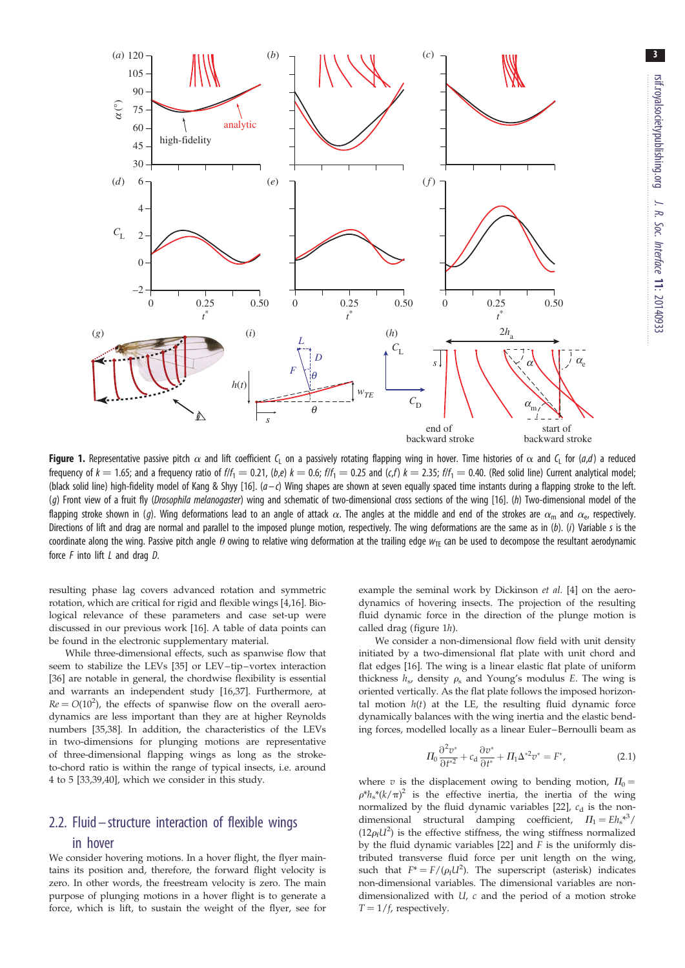<span id="page-2-0"></span>

Figure 1. Representative passive pitch  $\alpha$  and lift coefficient C<sub>L</sub> on a passively rotating flapping wing in hover. Time histories of  $\alpha$  and C<sub>L</sub> for (a,d) a reduced frequency of  $k = 1.65$ ; and a frequency ratio of f/f<sub>1</sub> = 0.21, (b,e)  $k = 0.6$ ; f/f<sub>1</sub> = 0.25 and (c,f)  $k = 2.35$ ; f/f<sub>1</sub> = 0.40. (Red solid line) Current analytical model; (black solid line) high-fidelity model of Kang & Shyy [[16](#page-8-0)].  $(a-c)$  Wing shapes are shown at seven equally spaced time instants during a flapping stroke to the left. (q) Front view of a fruit fly (Drosophila melanogaster) wing and schematic of two-dimensional cross sections of the wing [[16](#page-8-0)]. (h) Two-dimensional model of the flapping stroke shown in (g). Wing deformations lead to an angle of attack  $\alpha$ . The angles at the middle and end of the strokes are  $\alpha_m$  and  $\alpha_e$ , respectively. Directions of lift and drag are normal and parallel to the imposed plunge motion, respectively. The wing deformations are the same as in  $(b)$ . (i) Variable s is the coordinate along the wing. Passive pitch angle  $\theta$  owing to relative wing deformation at the trailing edge  $w_{\text{TE}}$  can be used to decompose the resultant aerodynamic force  $F$  into lift  $L$  and drag  $D$ .

resulting phase lag covers advanced rotation and symmetric rotation, which are critical for rigid and flexible wings [[4,16\]](#page-8-0). Biological relevance of these parameters and case set-up were discussed in our previous work [\[16\]](#page-8-0). A table of data points can be found in the electronic supplementary material.

While three-dimensional effects, such as spanwise flow that seem to stabilize the LEVs [[35](#page-8-0)] or LEV – tip–vortex interaction [\[36\]](#page-8-0) are notable in general, the chordwise flexibility is essential and warrants an independent study [[16](#page-8-0),[37](#page-8-0)]. Furthermore, at  $Re = O(10^2)$ , the effects of spanwise flow on the overall aerodynamics are less important than they are at higher Reynolds numbers [[35,38\]](#page-8-0). In addition, the characteristics of the LEVs in two-dimensions for plunging motions are representative of three-dimensional flapping wings as long as the stroketo-chord ratio is within the range of typical insects, i.e. around 4 to 5 [[33,39,40](#page-8-0)], which we consider in this study.

#### 2.2. Fluid – structure interaction of flexible wings

#### in hover

We consider hovering motions. In a hover flight, the flyer maintains its position and, therefore, the forward flight velocity is zero. In other words, the freestream velocity is zero. The main purpose of plunging motions in a hover flight is to generate a force, which is lift, to sustain the weight of the flyer, see for example the seminal work by Dickinson et al. [\[4\]](#page-8-0) on the aerodynamics of hovering insects. The projection of the resulting fluid dynamic force in the direction of the plunge motion is called drag (figure 1h).

We consider a non-dimensional flow field with unit density initiated by a two-dimensional flat plate with unit chord and flat edges [[16](#page-8-0)]. The wing is a linear elastic flat plate of uniform thickness  $h_s$ , density  $\rho_s$  and Young's modulus E. The wing is oriented vertically. As the flat plate follows the imposed horizontal motion  $h(t)$  at the LE, the resulting fluid dynamic force dynamically balances with the wing inertia and the elastic bending forces, modelled locally as a linear Euler –Bernoulli beam as

$$
\Pi_0 \frac{\partial^2 v^*}{\partial t^{*2}} + c_\text{d} \frac{\partial v^*}{\partial t^*} + \Pi_1 \Delta^{*2} v^* = F^*,\tag{2.1}
$$

where v is the displacement owing to bending motion,  $\Pi_0 =$  $\rho^* h_s^* (k/\pi)^2$  is the effective inertia, the inertia of the wing normalized by the fluid dynamic variables  $[22]$ ,  $c<sub>d</sub>$  is the nondimensional structural damping coefficient,  $\Pi_1 = E h_s^{*3}$ /  $(12\rho_f U^2)$  is the effective stiffness, the wing stiffness normalized by the fluid dynamic variables  $[22]$  and  $F$  is the uniformly distributed transverse fluid force per unit length on the wing, such that  $F^* = F/(\rho_f U^2)$ . The superscript (asterisk) indicates non-dimensional variables. The dimensional variables are nondimensionalized with U, c and the period of a motion stroke  $T = 1/f$ , respectively.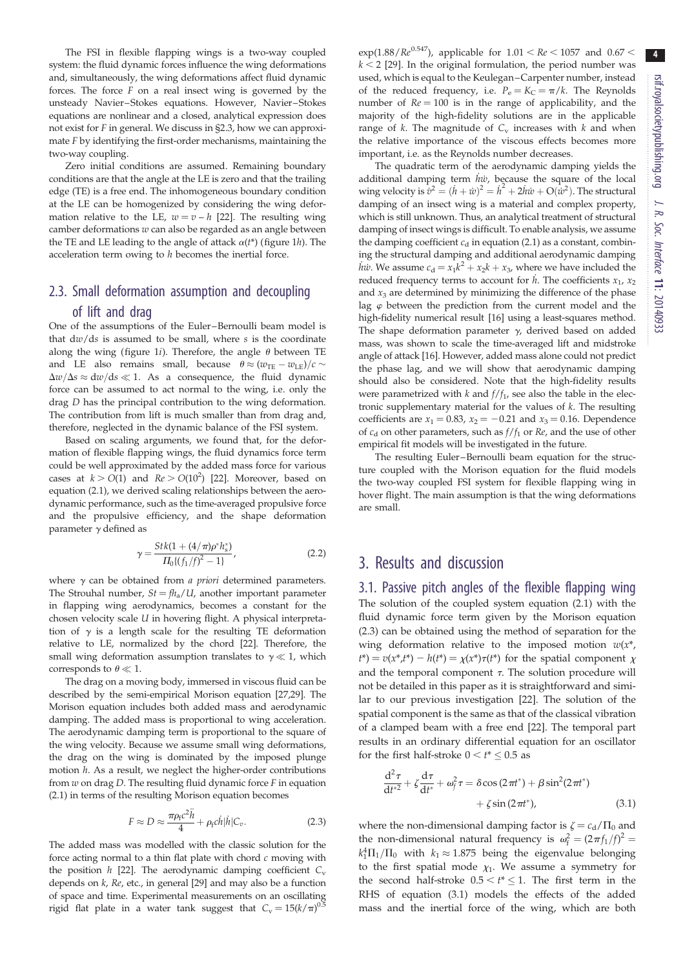The FSI in flexible flapping wings is a two-way coupled system: the fluid dynamic forces influence the wing deformations and, simultaneously, the wing deformations affect fluid dynamic forces. The force  $F$  on a real insect wing is governed by the unsteady Navier–Stokes equations. However, Navier–Stokes equations are nonlinear and a closed, analytical expression does not exist for F in general. We discuss in §2.3, how we can approximate F by identifying the first-order mechanisms, maintaining the two-way coupling.

Zero initial conditions are assumed. Remaining boundary conditions are that the angle at the LE is zero and that the trailing edge (TE) is a free end. The inhomogeneous boundary condition at the LE can be homogenized by considering the wing deformation relative to the LE,  $w = v - h$  [\[22\]](#page-8-0). The resulting wing camber deformations  $w$  can also be regarded as an angle between the TE and LE leading to the angle of attack  $\alpha(t^*)$  [\(figure 1](#page-2-0)h). The acceleration term owing to h becomes the inertial force.

# 2.3. Small deformation assumption and decoupling of lift and drag

One of the assumptions of the Euler –Bernoulli beam model is that  $dw/ds$  is assumed to be small, where  $s$  is the coordinate along the wing ([figure 1](#page-2-0)i). Therefore, the angle  $\theta$  between TE and LE also remains small, because  $\theta \approx (w_{\text{TE}} - w_{\text{LE}})/c \sim$  $\Delta w/\Delta s \approx dw/ds \ll 1$ . As a consequence, the fluid dynamic force can be assumed to act normal to the wing, i.e. only the drag D has the principal contribution to the wing deformation. The contribution from lift is much smaller than from drag and, therefore, neglected in the dynamic balance of the FSI system.

Based on scaling arguments, we found that, for the deformation of flexible flapping wings, the fluid dynamics force term could be well approximated by the added mass force for various cases at  $k > O(1)$  and  $Re > O(10^2)$  [[22](#page-8-0)]. Moreover, based on equation (2.1), we derived scaling relationships between the aerodynamic performance, such as the time-averaged propulsive force and the propulsive efficiency, and the shape deformation parameter  $\gamma$  defined as

$$
\gamma = \frac{Stk(1 + (4/\pi)\rho^* h_s^*)}{\Pi_0 \{(f_1/f)^2 - 1\}},
$$
\n(2.2)

where  $\gamma$  can be obtained from *a priori* determined parameters. The Strouhal number,  $St = \frac{fh_a}{U}$ , another important parameter in flapping wing aerodynamics, becomes a constant for the chosen velocity scale U in hovering flight. A physical interpretation of  $\gamma$  is a length scale for the resulting TE deformation relative to LE, normalized by the chord [\[22\]](#page-8-0). Therefore, the small wing deformation assumption translates to  $\gamma \ll 1$ , which corresponds to  $\theta \ll 1$ .

The drag on a moving body, immersed in viscous fluid can be described by the semi-empirical Morison equation [\[27](#page-8-0),[29](#page-8-0)]. The Morison equation includes both added mass and aerodynamic damping. The added mass is proportional to wing acceleration. The aerodynamic damping term is proportional to the square of the wing velocity. Because we assume small wing deformations, the drag on the wing is dominated by the imposed plunge motion h. As a result, we neglect the higher-order contributions from  $w$  on drag  $D$ . The resulting fluid dynamic force  $F$  in equation (2.1) in terms of the resulting Morison equation becomes

$$
F \approx D \approx \frac{\pi \rho_f c^2 \ddot{h}}{4} + \rho_f c \dot{h} |\dot{h}| C_v.
$$
 (2.3)

The added mass was modelled with the classic solution for the force acting normal to a thin flat plate with chord  $c$  moving with the position  $h$  [\[22](#page-8-0)]. The aerodynamic damping coefficient  $C_v$ depends on k, Re, etc., in general [\[29](#page-8-0)] and may also be a function of space and time. Experimental measurements on an oscillating rigid flat plate in a water tank suggest that  $C_v = 15(k/\pi)^{0.5}$ 

exp(1.88/Re<sup>0.547</sup>), applicable for  $1.01 < Re < 1057$  and  $0.67 <$  $k < 2$  [\[29\]](#page-8-0). In the original formulation, the period number was used, which is equal to the Keulegan –Carpenter number, instead of the reduced frequency, i.e.  $P_e = K_C = \pi/k$ . The Reynolds number of  $Re = 100$  is in the range of applicability, and the majority of the high-fidelity solutions are in the applicable range of  $k$ . The magnitude of  $C_v$  increases with  $k$  and when the relative importance of the viscous effects becomes more important, i.e. as the Reynolds number decreases.

The quadratic term of the aerodynamic damping yields the additional damping term  $h\dot{w}$ , because the square of the local wing velocity is  $\dot{\vec{v}}^2 = (\dot{h} + \dot{w})^2 = \dot{h}^2 + 2\dot{h}\dot{w} + O(\dot{\vec{w}}^2)$ . The structural damping of an insect wing is a material and complex property, which is still unknown. Thus, an analytical treatment of structural damping of insect wings is difficult. To enable analysis, we assume the damping coefficient  $c_d$  in equation (2.1) as a constant, combining the structural damping and additional aerodynamic damping *hiv*. We assume  $c_d = x_1 k^2 + x_2 k + x_3$ , where we have included the reduced frequency terms to account for  $\dot{h}$ . The coefficients  $x_1$ ,  $x_2$ and  $x_3$  are determined by minimizing the difference of the phase lag  $\varphi$  between the prediction from the current model and the high-fidelity numerical result [\[16\]](#page-8-0) using a least-squares method. The shape deformation parameter  $\gamma$ , derived based on added mass, was shown to scale the time-averaged lift and midstroke angle of attack [\[16\]](#page-8-0). However, added mass alone could not predict the phase lag, and we will show that aerodynamic damping should also be considered. Note that the high-fidelity results were parametrized with  $k$  and  $f/f_1$ , see also the table in the electronic supplementary material for the values of k. The resulting coefficients are  $x_1 = 0.83$ ,  $x_2 = -0.21$  and  $x_3 = 0.16$ . Dependence of  $c_d$  on other parameters, such as  $f/f_1$  or  $Re$ , and the use of other empirical fit models will be investigated in the future.

The resulting Euler-Bernoulli beam equation for the structure coupled with the Morison equation for the fluid models the two-way coupled FSI system for flexible flapping wing in hover flight. The main assumption is that the wing deformations are small.

## 3. Results and discussion

3.1. Passive pitch angles of the flexible flapping wing The solution of the coupled system equation (2.1) with the fluid dynamic force term given by the Morison equation (2.3) can be obtained using the method of separation for the wing deformation relative to the imposed motion  $w(x^*)$ ,  $t^*$ ) =  $v(x^*, t^*)$  -  $h(t^*) = \chi(x^*)\tau(t^*)$  for the spatial component  $\chi$ and the temporal component  $\tau$ . The solution procedure will not be detailed in this paper as it is straightforward and similar to our previous investigation [[22\]](#page-8-0). The solution of the spatial component is the same as that of the classical vibration of a clamped beam with a free end [[22\]](#page-8-0). The temporal part results in an ordinary differential equation for an oscillator for the first half-stroke  $0 < t^* \leq 0.5$  as

$$
\frac{\mathrm{d}^2 \tau}{\mathrm{d}t^{*2}} + \zeta \frac{\mathrm{d}\tau}{\mathrm{d}t^*} + \omega_f^2 \tau = \delta \cos\left(2\pi t^*\right) + \beta \sin^2\left(2\pi t^*\right) \n+ \zeta \sin\left(2\pi t^*\right),\tag{3.1}
$$

where the non-dimensional damping factor is  $\zeta = c_d/\Pi_0$  and the non-dimensional natural frequency is  $\omega_f^2 = (2\pi f_1/f)^2$  $k_1^4\Pi_1/\Pi_0$  with  $k_1 \approx 1.875$  being the eigenvalue belonging to the first spatial mode  $\chi_1$ . We assume a symmetry for the second half-stroke  $0.5 < t^* \leq 1$ . The first term in the RHS of equation (3.1) models the effects of the added mass and the inertial force of the wing, which are both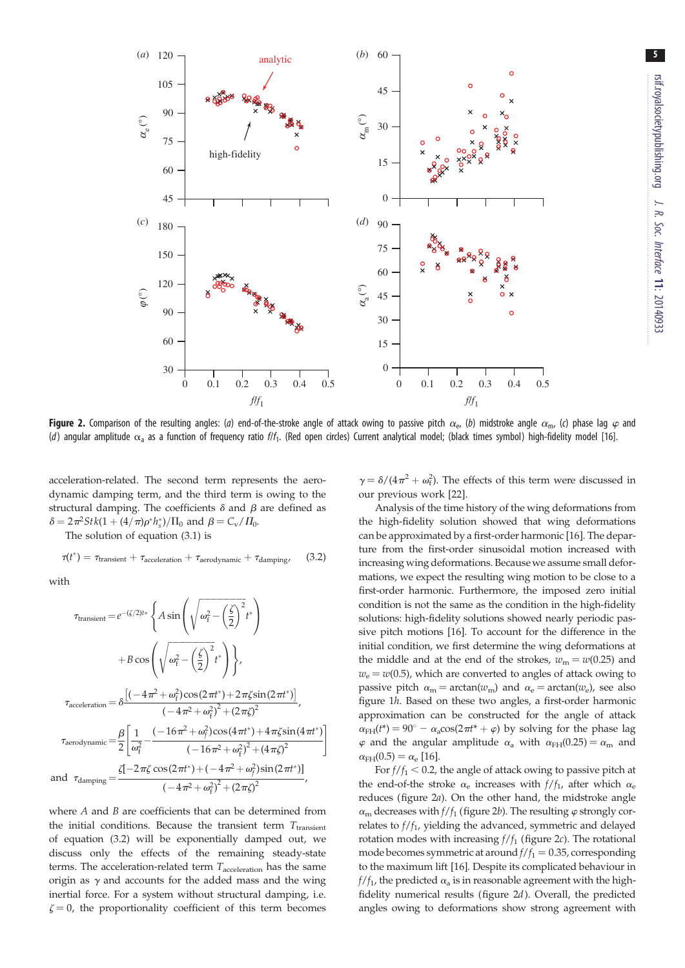<span id="page-4-0"></span>

Figure 2. Comparison of the resulting angles: (a) end-of-the-stroke angle of attack owing to passive pitch  $\alpha_{e}$ , (b) midstroke angle  $\alpha_{m}$ , (c) phase lag  $\varphi$  and (d) angular amplitude  $\alpha_a$  as a function of frequency ratio f/f<sub>1</sub>. (Red open circles) Current analytical model; (black times symbol) high-fidelity model [\[16\]](#page-8-0).

acceleration-related. The second term represents the aerodynamic damping term, and the third term is owing to the structural damping. The coefficients  $\delta$  and  $\beta$  are defined as  $\delta = 2\pi^2 Stk(1+(4/\pi)\rho^*h_s^*)/\Pi_0$  and  $\beta = C_v/H_0$ .

The solution of equation (3.1) is

$$
\tau(t^*) = \tau_{\text{transient}} + \tau_{\text{acceleration}} + \tau_{\text{aerodynamic}} + \tau_{\text{damping}} \tag{3.2}
$$

with

$$
\tau_{\text{transient}} = e^{-(\zeta/2)t} \left\{ A \sin\left(\sqrt{\omega_f^2 - \left(\frac{\zeta}{2}\right)^2 t^*}\right) \right.\n\left. + B \cos\left(\sqrt{\omega_f^2 - \left(\frac{\zeta}{2}\right)^2 t^*}\right) \right\},
$$
\n
$$
\tau_{\text{acceleration}} = \delta \frac{\left[(-4\pi^2 + \omega_f^2)\cos(2\pi t^*) + 2\pi\zeta\sin(2\pi t^*)\right]}{(-4\pi^2 + \omega_f^2)^2 + (2\pi\zeta)^2},
$$
\n
$$
\tau_{\text{aerodynamic}} = \frac{\beta}{2} \left[ \frac{1}{\omega_f^2} - \frac{(-16\pi^2 + \omega_f^2)\cos(4\pi t^*) + 4\pi\zeta\sin(4\pi t^*)}{(-16\pi^2 + \omega_f^2)^2 + (4\pi\zeta)^2} \right]
$$
\nand 
$$
\tau_{\text{damping}} = \frac{\zeta[-2\pi\zeta\cos(2\pi t^*) + (-4\pi^2 + \omega_f^2)\sin(2\pi t^*)]}{(-4\pi^2 + \omega_f^2)^2 + (2\pi\zeta)^2},
$$

where  $A$  and  $B$  are coefficients that can be determined from the initial conditions. Because the transient term  $T_{\text{transient}}$ of equation (3.2) will be exponentially damped out, we discuss only the effects of the remaining steady-state terms. The acceleration-related term  $T_{\text{acceleration}}$  has the same origin as  $\gamma$  and accounts for the added mass and the wing inertial force. For a system without structural damping, i.e.  $\zeta = 0$ , the proportionality coefficient of this term becomes

 $\gamma = \delta/(4\pi^2 + \omega_f^2)$ . The effects of this term were discussed in our previous work [[22\]](#page-8-0).

Analysis of the time history of the wing deformations from the high-fidelity solution showed that wing deformations can be approximated by a first-order harmonic [[16\]](#page-8-0). The departure from the first-order sinusoidal motion increased with increasing wing deformations. Because we assume small deformations, we expect the resulting wing motion to be close to a first-order harmonic. Furthermore, the imposed zero initial condition is not the same as the condition in the high-fidelity solutions: high-fidelity solutions showed nearly periodic passive pitch motions [[16\]](#page-8-0). To account for the difference in the initial condition, we first determine the wing deformations at the middle and at the end of the strokes,  $w_m = w(0.25)$  and  $w_e = w(0.5)$ , which are converted to angles of attack owing to passive pitch  $\alpha_m = \arctan(w_m)$  and  $\alpha_e = \arctan(w_e)$ , see also [figure 1](#page-2-0)h. Based on these two angles, a first-order harmonic approximation can be constructed for the angle of attack  $\alpha_{FH}(t^*) = 90^\circ - \alpha_{\alpha} \cos(2\pi t^* + \varphi)$  by solving for the phase lag  $\varphi$  and the angular amplitude  $\alpha_a$  with  $\alpha_{FH}$ (0.25) =  $\alpha_m$  and  $\alpha_{\rm FH}(0.5) = \alpha_{\rm e}$  [[16\]](#page-8-0).

For  $f/f_1$  < 0.2, the angle of attack owing to passive pitch at the end-of-the stroke  $\alpha_e$  increases with  $f/f_1$ , after which  $\alpha_e$ reduces (figure 2a). On the other hand, the midstroke angle  $\alpha_{\rm m}$  decreases with  $f/f_1$  (figure 2b). The resulting  $\varphi$  strongly correlates to  $f/f_1$ , yielding the advanced, symmetric and delayed rotation modes with increasing  $f/f_1$  (figure 2c). The rotational mode becomes symmetric at around  $f/f_1 = 0.35$ , corresponding to the maximum lift [[16\]](#page-8-0). Despite its complicated behaviour in  $f/f_1$ , the predicted  $\alpha_a$  is in reasonable agreement with the highfidelity numerical results (figure 2d). Overall, the predicted angles owing to deformations show strong agreement with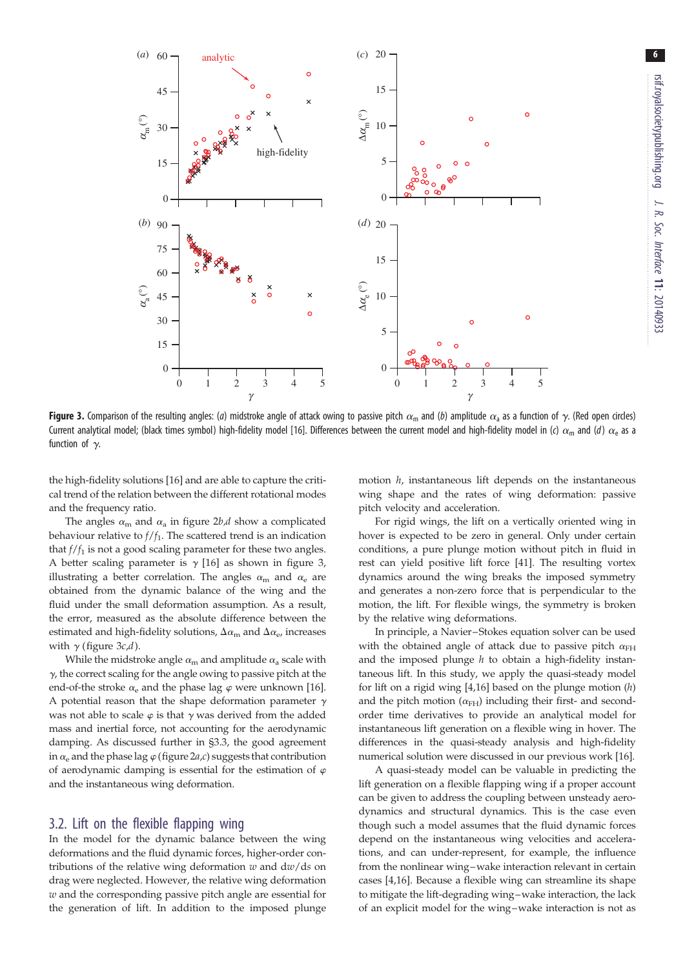

**Figure 3.** Comparison of the resulting angles: (a) midstroke angle of attack owing to passive pitch  $\alpha_m$  and (b) amplitude  $\alpha_a$  as a function of  $\gamma$ . (Red open circles) Current analytical model; (black times symbol) high-fidelity model [\[16\]](#page-8-0). Differences between the current model and high-fidelity model in (c)  $\alpha_{\rm m}$  and (d)  $\alpha_{\rm e}$  as a function of  $\gamma$ .

the high-fidelity solutions [\[16](#page-8-0)] and are able to capture the critical trend of the relation between the different rotational modes and the frequency ratio.

The angles  $\alpha_m$  and  $\alpha_a$  in [figure 2](#page-4-0)b,d show a complicated behaviour relative to  $f/f_1$ . The scattered trend is an indication that  $f/f_1$  is not a good scaling parameter for these two angles. A better scaling parameter is  $\gamma$  [[16\]](#page-8-0) as shown in figure 3, illustrating a better correlation. The angles  $\alpha_{\rm m}$  and  $\alpha_{\rm e}$  are obtained from the dynamic balance of the wing and the fluid under the small deformation assumption. As a result, the error, measured as the absolute difference between the estimated and high-fidelity solutions,  $\Delta \alpha_{\rm m}$  and  $\Delta \alpha_{\rm e}$ , increases with  $\gamma$  (figure 3c,d).

While the midstroke angle  $\alpha_m$  and amplitude  $\alpha_a$  scale with  $\gamma$ , the correct scaling for the angle owing to passive pitch at the end-of-the stroke  $\alpha_e$  and the phase lag  $\varphi$  were unknown [\[16](#page-8-0)]. A potential reason that the shape deformation parameter  $\gamma$ was not able to scale  $\varphi$  is that  $\gamma$  was derived from the added mass and inertial force, not accounting for the aerodynamic damping. As discussed further in §3.3, the good agreement in  $\alpha_e$  and the phase lag  $\varphi$  [\(figure 2](#page-4-0)*a*,*c*) suggests that contribution of aerodynamic damping is essential for the estimation of  $\varphi$ and the instantaneous wing deformation.

#### 3.2. Lift on the flexible flapping wing

In the model for the dynamic balance between the wing deformations and the fluid dynamic forces, higher-order contributions of the relative wing deformation  $w$  and  $dw/ds$  on drag were neglected. However, the relative wing deformation  $w$  and the corresponding passive pitch angle are essential for the generation of lift. In addition to the imposed plunge motion  $h$ , instantaneous lift depends on the instantaneous wing shape and the rates of wing deformation: passive pitch velocity and acceleration.

For rigid wings, the lift on a vertically oriented wing in hover is expected to be zero in general. Only under certain conditions, a pure plunge motion without pitch in fluid in rest can yield positive lift force [[41\]](#page-9-0). The resulting vortex dynamics around the wing breaks the imposed symmetry and generates a non-zero force that is perpendicular to the motion, the lift. For flexible wings, the symmetry is broken by the relative wing deformations.

In principle, a Navier –Stokes equation solver can be used with the obtained angle of attack due to passive pitch  $\alpha_{\text{FH}}$ and the imposed plunge  $h$  to obtain a high-fidelity instantaneous lift. In this study, we apply the quasi-steady model for lift on a rigid wing [[4](#page-8-0),[16](#page-8-0)] based on the plunge motion  $(h)$ and the pitch motion ( $\alpha_{FH}$ ) including their first- and secondorder time derivatives to provide an analytical model for instantaneous lift generation on a flexible wing in hover. The differences in the quasi-steady analysis and high-fidelity numerical solution were discussed in our previous work [[16\]](#page-8-0).

A quasi-steady model can be valuable in predicting the lift generation on a flexible flapping wing if a proper account can be given to address the coupling between unsteady aerodynamics and structural dynamics. This is the case even though such a model assumes that the fluid dynamic forces depend on the instantaneous wing velocities and accelerations, and can under-represent, for example, the influence from the nonlinear wing–wake interaction relevant in certain cases [[4](#page-8-0),[16\]](#page-8-0). Because a flexible wing can streamline its shape to mitigate the lift-degrading wing–wake interaction, the lack of an explicit model for the wing–wake interaction is not as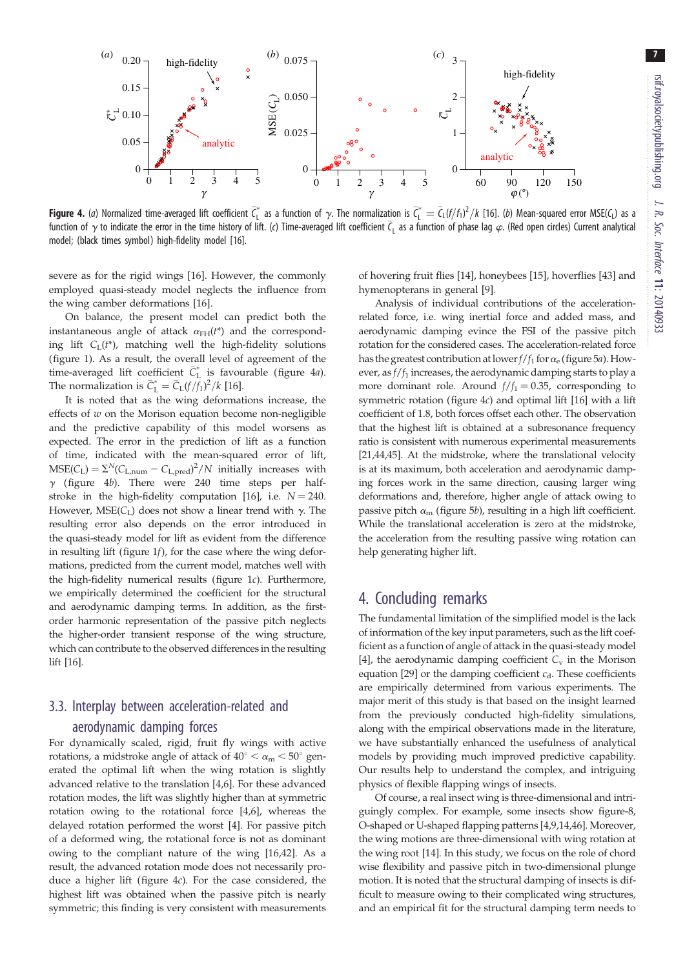

**Figure 4.** (a) Normalized time-averaged lift coefficient  $\bar{\zeta}_L^*$  as a function of  $\gamma$ . The normalization is  $\bar{\zeta}_L^* = \bar{\zeta}_L (f/f_1)^2/k$  [\[16\]](#page-8-0). (b) Mean-squared error MSE(C<sub>L</sub>) as a function of  $\gamma$  to indicate the error in the time history of lift. (c) Time-averaged lift coefficient  $\bar\epsilon_{\rm L}$  as a function of phase lag  $\varphi$ . (Red open circles) Current analytical model; (black times symbol) high-fidelity model [[16](#page-8-0)].

severe as for the rigid wings [[16\]](#page-8-0). However, the commonly employed quasi-steady model neglects the influence from the wing camber deformations [[16\]](#page-8-0).

On balance, the present model can predict both the instantaneous angle of attack  $\alpha_{FH}(t^*)$  and the corresponding lift  $C_{L}(t^{*})$ , matching well the high-fidelity solutions [\(figure 1](#page-2-0)). As a result, the overall level of agreement of the time-averaged lift coefficient  $\overline{C}_L^*$  is favourable (figure 4a). The normalization is  $\overline{C}_{\rm L}^* = \overline{C}_{\rm L}(f/\overline{f}_1)^2/k$  [\[16](#page-8-0)].

It is noted that as the wing deformations increase, the effects of  $w$  on the Morison equation become non-negligible and the predictive capability of this model worsens as expected. The error in the prediction of lift as a function of time, indicated with the mean-squared error of lift,  $MSE(C_{L}) = \sum^{N} (C_{L,num} - C_{L,pred})^{2} / N$  initially increases with  $\gamma$  (figure 4b). There were 240 time steps per half-stroke in the high-fidelity computation [\[16\]](#page-8-0), i.e.  $N = 240$ . However,  $MSE(C<sub>L</sub>)$  does not show a linear trend with  $\gamma$ . The resulting error also depends on the error introduced in the quasi-steady model for lift as evident from the difference in resulting lift [\(figure 1](#page-2-0)f), for the case where the wing deformations, predicted from the current model, matches well with the high-fidelity numerical results [\(figure 1](#page-2-0)c). Furthermore, we empirically determined the coefficient for the structural and aerodynamic damping terms. In addition, as the firstorder harmonic representation of the passive pitch neglects the higher-order transient response of the wing structure, which can contribute to the observed differences in the resulting lift [[16\]](#page-8-0).

# 3.3. Interplay between acceleration-related and aerodynamic damping forces

For dynamically scaled, rigid, fruit fly wings with active rotations, a midstroke angle of attack of  $40^{\circ} < \alpha_{\rm m} < 50^{\circ}$  generated the optimal lift when the wing rotation is slightly advanced relative to the translation [[4,6\]](#page-8-0). For these advanced rotation modes, the lift was slightly higher than at symmetric rotation owing to the rotational force [\[4,6\]](#page-8-0), whereas the delayed rotation performed the worst [\[4\]](#page-8-0). For passive pitch of a deformed wing, the rotational force is not as dominant owing to the compliant nature of the wing [\[16](#page-8-0),[42\]](#page-9-0). As a result, the advanced rotation mode does not necessarily produce a higher lift (figure 4c). For the case considered, the highest lift was obtained when the passive pitch is nearly symmetric; this finding is very consistent with measurements of hovering fruit flies [\[14](#page-8-0)], honeybees [\[15](#page-8-0)], hoverflies [\[43](#page-9-0)] and hymenopterans in general [[9](#page-8-0)].

Analysis of individual contributions of the accelerationrelated force, i.e. wing inertial force and added mass, and aerodynamic damping evince the FSI of the passive pitch rotation for the considered cases. The acceleration-related force has the greatest contribution at lower  $f/f_1$  for  $\alpha_e$  [\(figure 5](#page-7-0)a). However, as  $f/f_1$  increases, the aerodynamic damping starts to play a more dominant role. Around  $f/f_1 = 0.35$ , corresponding to symmetric rotation (figure 4c) and optimal lift [\[16](#page-8-0)] with a lift coefficient of 1.8, both forces offset each other. The observation that the highest lift is obtained at a subresonance frequency ratio is consistent with numerous experimental measurements [[21](#page-8-0),[44](#page-9-0),[45](#page-9-0)]. At the midstroke, where the translational velocity is at its maximum, both acceleration and aerodynamic damping forces work in the same direction, causing larger wing deformations and, therefore, higher angle of attack owing to passive pitch  $\alpha_{\rm m}$  ([figure 5](#page-7-0)b), resulting in a high lift coefficient. While the translational acceleration is zero at the midstroke, the acceleration from the resulting passive wing rotation can help generating higher lift.

## 4. Concluding remarks

The fundamental limitation of the simplified model is the lack of information of the key input parameters, such as the lift coefficient as a function of angle of attack in the quasi-steady model [[4](#page-8-0)], the aerodynamic damping coefficient  $C_v$  in the Morison equation [\[29](#page-8-0)] or the damping coefficient  $c<sub>d</sub>$ . These coefficients are empirically determined from various experiments. The major merit of this study is that based on the insight learned from the previously conducted high-fidelity simulations, along with the empirical observations made in the literature, we have substantially enhanced the usefulness of analytical models by providing much improved predictive capability. Our results help to understand the complex, and intriguing physics of flexible flapping wings of insects.

Of course, a real insect wing is three-dimensional and intriguingly complex. For example, some insects show figure-8, O-shaped or U-shaped flapping patterns [[4,9,14](#page-8-0)[,46](#page-9-0)]. Moreover, the wing motions are three-dimensional with wing rotation at the wing root [[14\]](#page-8-0). In this study, we focus on the role of chord wise flexibility and passive pitch in two-dimensional plunge motion. It is noted that the structural damping of insects is difficult to measure owing to their complicated wing structures, and an empirical fit for the structural damping term needs to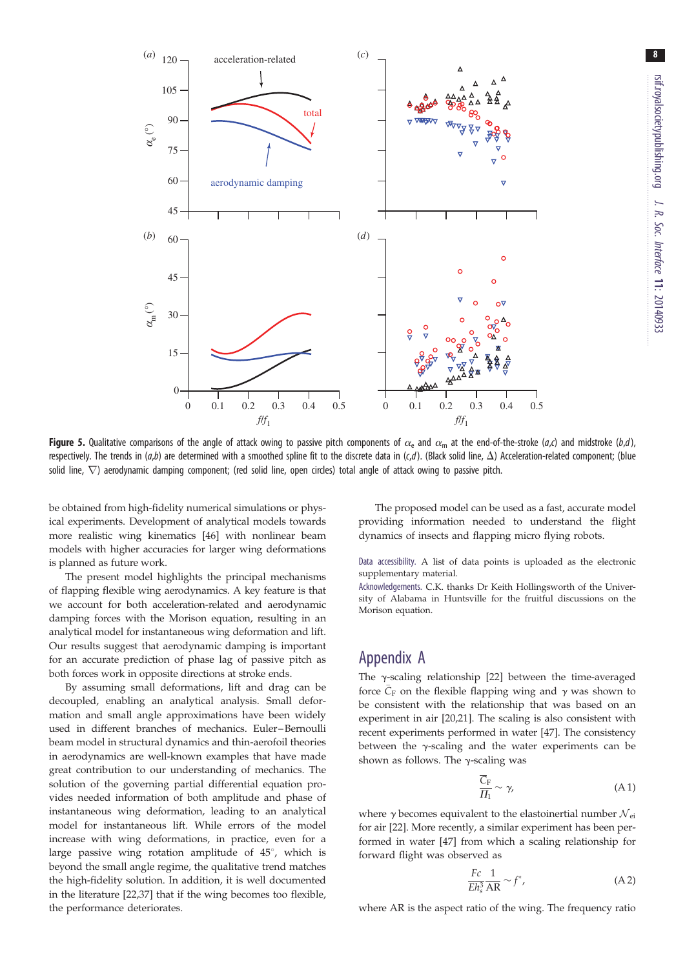<span id="page-7-0"></span>

**Figure 5.** Qualitative comparisons of the angle of attack owing to passive pitch components of  $\alpha_e$  and  $\alpha_m$  at the end-of-the-stroke (a,c) and midstroke (b,d), respectively. The trends in (a,b) are determined with a smoothed spline fit to the discrete data in (c,d). (Black solid line,  $\Delta$ ) Acceleration-related component; (blue solid line,  $\nabla$ ) aerodynamic damping component; (red solid line, open circles) total angle of attack owing to passive pitch.

be obtained from high-fidelity numerical simulations or physical experiments. Development of analytical models towards more realistic wing kinematics [[46\]](#page-9-0) with nonlinear beam models with higher accuracies for larger wing deformations is planned as future work.

The present model highlights the principal mechanisms of flapping flexible wing aerodynamics. A key feature is that we account for both acceleration-related and aerodynamic damping forces with the Morison equation, resulting in an analytical model for instantaneous wing deformation and lift. Our results suggest that aerodynamic damping is important for an accurate prediction of phase lag of passive pitch as both forces work in opposite directions at stroke ends.

By assuming small deformations, lift and drag can be decoupled, enabling an analytical analysis. Small deformation and small angle approximations have been widely used in different branches of mechanics. Euler –Bernoulli beam model in structural dynamics and thin-aerofoil theories in aerodynamics are well-known examples that have made great contribution to our understanding of mechanics. The solution of the governing partial differential equation provides needed information of both amplitude and phase of instantaneous wing deformation, leading to an analytical model for instantaneous lift. While errors of the model increase with wing deformations, in practice, even for a large passive wing rotation amplitude of  $45^{\circ}$ , which is beyond the small angle regime, the qualitative trend matches the high-fidelity solution. In addition, it is well documented in the literature [[22,37](#page-8-0)] that if the wing becomes too flexible, the performance deteriorates.

The proposed model can be used as a fast, accurate model providing information needed to understand the flight dynamics of insects and flapping micro flying robots.

Data accessibility. A list of data points is uploaded as the electronic supplementary material.

Acknowledgements. C.K. thanks Dr Keith Hollingsworth of the University of Alabama in Huntsville for the fruitful discussions on the Morison equation.

## Appendix A

The  $\gamma$ -scaling relationship [\[22](#page-8-0)] between the time-averaged force  $\bar{C}_F$  on the flexible flapping wing and  $\gamma$  was shown to be consistent with the relationship that was based on an experiment in air [[20,21](#page-8-0)]. The scaling is also consistent with recent experiments performed in water [[47\]](#page-9-0). The consistency between the  $\gamma$ -scaling and the water experiments can be shown as follows. The  $\gamma$ -scaling was

$$
\frac{\overline{C}_{\rm F}}{H_1} \sim \gamma,\tag{A1}
$$

where  $\gamma$  becomes equivalent to the elastoinertial number  $N_{\rm ei}$ for air [\[22](#page-8-0)]. More recently, a similar experiment has been performed in water [[47\]](#page-9-0) from which a scaling relationship for forward flight was observed as

$$
\frac{Fc}{Eh_s^3}\frac{1}{AR} \sim f^*,\tag{A2}
$$

where AR is the aspect ratio of the wing. The frequency ratio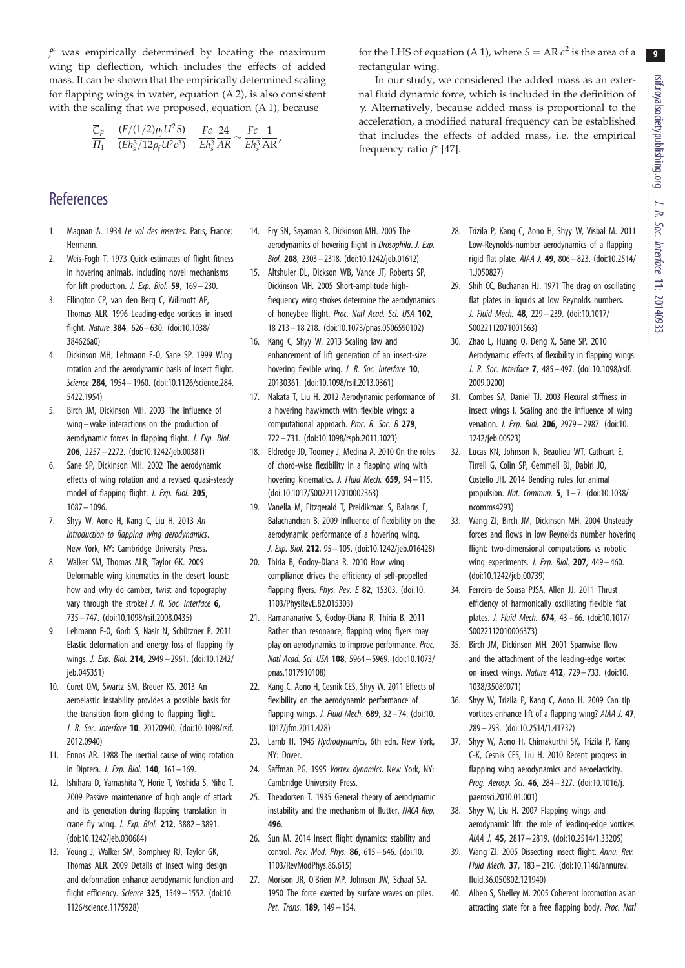<span id="page-8-0"></span> $f^*$  was empirically determined by locating the maximum wing tip deflection, which includes the effects of added mass. It can be shown that the empirically determined scaling for flapping wings in water, equation (A 2), is also consistent with the scaling that we proposed, equation (A 1), because

$$
\frac{\overline{C}_F}{\overline{H_1}} = \frac{(F/(1/2)\rho_f U^2 S)}{(E h_s^3/12\rho_f U^2 c^3)} = \frac{Fc}{E h_s^3} \frac{24}{AR} \sim \frac{Fc}{E h_s^3} \frac{1}{AR},
$$

# **References**

- 1. Magnan A. 1934 Le vol des insectes. Paris, France: Hermann.
- 2. Weis-Fogh T. 1973 Quick estimates of flight fitness in hovering animals, including novel mechanisms for lift production. *J. Exp. Biol.* **59**,  $169 - 230$ .
- 3. Ellington CP, van den Berg C, Willmott AP, Thomas ALR. 1996 Leading-edge vortices in insect flight. Nature 384, 626– 630. ([doi:10.1038/](http://dx.doi.org/10.1038/384626a0) [384626a0\)](http://dx.doi.org/10.1038/384626a0)
- 4. Dickinson MH, Lehmann F-O, Sane SP. 1999 Wing rotation and the aerodynamic basis of insect flight. Science 284, 1954 – 1960. ([doi:10.1126/science.284.](http://dx.doi.org/10.1126/science.284.5422.1954) [5422.1954\)](http://dx.doi.org/10.1126/science.284.5422.1954)
- 5. Birch JM, Dickinson MH. 2003 The influence of wing –wake interactions on the production of aerodynamic forces in flapping flight. J. Exp. Biol. 206, 2257– 2272. [\(doi:10.1242/jeb.00381\)](http://dx.doi.org/10.1242/jeb.00381)
- 6. Sane SP, Dickinson MH. 2002 The aerodynamic effects of wing rotation and a revised quasi-steady model of flapping flight. J. Exp. Biol. 205, 1087 – 1096.
- 7. Shyy W, Aono H, Kang C, Liu H. 2013 An introduction to flapping wing aerodynamics. New York, NY: Cambridge University Press.
- 8. Walker SM, Thomas ALR, Taylor GK. 2009 Deformable wing kinematics in the desert locust: how and why do camber, twist and topography vary through the stroke? J. R. Soc. Interface 6, 735– 747. ([doi:10.1098/rsif.2008.0435\)](http://dx.doi.org/10.1098/rsif.2008.0435)
- 9. Lehmann F-O, Gorb S, Nasir N, Schützner P. 2011 Elastic deformation and energy loss of flapping fly wings. J. Exp. Biol. 214, 2949– 2961. ([doi:10.1242/](http://dx.doi.org/10.1242/jeb.045351) [jeb.045351](http://dx.doi.org/10.1242/jeb.045351))
- 10. Curet OM, Swartz SM, Breuer KS. 2013 An aeroelastic instability provides a possible basis for the transition from gliding to flapping flight. J. R. Soc. Interface 10, 20120940. ([doi:10.1098/rsif.](http://dx.doi.org/10.1098/rsif.2012.0940) [2012.0940\)](http://dx.doi.org/10.1098/rsif.2012.0940)
- 11. Ennos AR. 1988 The inertial cause of wing rotation in Diptera. J. Exp. Biol. 140, 161– 169.
- 12. Ishihara D, Yamashita Y, Horie T, Yoshida S, Niho T. 2009 Passive maintenance of high angle of attack and its generation during flapping translation in crane fly wing. J. Exp. Biol. 212, 3882 – 3891. [\(doi:10.1242/jeb.030684](http://dx.doi.org/10.1242/jeb.030684))
- 13. Young J, Walker SM, Bomphrey RJ, Taylor GK, Thomas ALR. 2009 Details of insect wing design and deformation enhance aerodynamic function and flight efficiency. Science 325, 1549– 1552. ([doi:10.](http://dx.doi.org/10.1126/science.1175928) [1126/science.1175928\)](http://dx.doi.org/10.1126/science.1175928)
- 14. Fry SN, Sayaman R, Dickinson MH. 2005 The aerodynamics of hovering flight in Drosophila. J. Exp. Biol. 208, 2303–2318. [\(doi:10.1242/jeb.01612](http://dx.doi.org/10.1242/jeb.01612))
- 15. Altshuler DL, Dickson WB, Vance JT, Roberts SP, Dickinson MH. 2005 Short-amplitude highfrequency wing strokes determine the aerodynamics of honeybee flight. Proc. Natl Acad. Sci. USA 102, 18 213– 18 218. [\(doi:10.1073/pnas.0506590102](http://dx.doi.org/10.1073/pnas.0506590102))
- 16. Kang C, Shyy W. 2013 Scaling law and enhancement of lift generation of an insect-size hovering flexible wing. J. R. Soc. Interface 10, 20130361. ([doi:10.1098/rsif.2013.0361\)](http://dx.doi.org/10.1098/rsif.2013.0361)
- 17. Nakata T, Liu H. 2012 Aerodynamic performance of a hovering hawkmoth with flexible wings: a computational approach. Proc. R. Soc. B 279, 722 – 731. [\(doi:10.1098/rspb.2011.1023](http://dx.doi.org/10.1098/rspb.2011.1023))
- 18. Eldredge JD, Toomey J, Medina A. 2010 On the roles of chord-wise flexibility in a flapping wing with hovering kinematics. J. Fluid Mech. 659, 94-115. [\(doi:10.1017/S0022112010002363\)](http://dx.doi.org/10.1017/S0022112010002363)
- 19. Vanella M, Fitzgerald T, Preidikman S, Balaras E, Balachandran B. 2009 Influence of flexibility on the aerodynamic performance of a hovering wing. J. Exp. Biol. 212, 95 – 105. ([doi:10.1242/jeb.016428\)](http://dx.doi.org/10.1242/jeb.016428)
- 20. Thiria B, Godoy-Diana R. 2010 How wing compliance drives the efficiency of self-propelled flapping flyers. Phys. Rev. E 82, 15303. ([doi:10.](http://dx.doi.org/10.1103/PhysRevE.82.015303) [1103/PhysRevE.82.015303\)](http://dx.doi.org/10.1103/PhysRevE.82.015303)
- 21. Ramananarivo S, Godoy-Diana R, Thiria B. 2011 Rather than resonance, flapping wing flyers may play on aerodynamics to improve performance. Proc. Natl Acad. Sci. USA 108, 5964– 5969. [\(doi:10.1073/](http://dx.doi.org/10.1073/pnas.1017910108) [pnas.1017910108](http://dx.doi.org/10.1073/pnas.1017910108))
- 22. Kang C, Aono H, Cesnik CES, Shyy W. 2011 Effects of flexibility on the aerodynamic performance of flapping wings. *J. Fluid Mech.* 689,  $32-74$ . [\(doi:10.](http://dx.doi.org/10.1017/jfm.2011.428) [1017/jfm.2011.428\)](http://dx.doi.org/10.1017/jfm.2011.428)
- 23. Lamb H. 1945 Hydrodynamics, 6th edn. New York, NY: Dover.
- 24. Saffman PG. 1995 Vortex dynamics. New York, NY: Cambridge University Press.
- 25. Theodorsen T. 1935 General theory of aerodynamic instability and the mechanism of flutter. NACA Rep. 496.
- 26. Sun M. 2014 Insect flight dynamics: stability and control. Rev. Mod. Phys. 86, 615 – 646. ([doi:10.](http://dx.doi.org/10.1103/RevModPhys.86.615) [1103/RevModPhys.86.615\)](http://dx.doi.org/10.1103/RevModPhys.86.615)
- 27. Morison JR, O'Brien MP, Johnson JW, Schaaf SA. 1950 The force exerted by surface waves on piles. Pet. Trans. **189**, 149 - 154.

for the LHS of equation (A 1), where  $S = AR c^2$  is the area of a rectangular wing.

In our study, we considered the added mass as an external fluid dynamic force, which is included in the definition of  $\gamma$ . Alternatively, because added mass is proportional to the acceleration, a modified natural frequency can be established that includes the effects of added mass, i.e. the empirical frequency ratio  $f^*$  [\[47](#page-9-0)].

- 28. Trizila P, Kang C, Aono H, Shyy W, Visbal M. 2011 Low-Reynolds-number aerodynamics of a flapping rigid flat plate. AIAA J. 49, 806– 823. [\(doi:10.2514/](http://dx.doi.org/10.2514/1.J050827) [1.J050827](http://dx.doi.org/10.2514/1.J050827))
- 29. Shih CC, Buchanan HJ. 1971 The drag on oscillating flat plates in liquids at low Reynolds numbers. J. Fluid Mech. 48, 229– 239. [\(doi:10.1017/](http://dx.doi.org/10.1017/S0022112071001563) [S0022112071001563\)](http://dx.doi.org/10.1017/S0022112071001563)
- 30. Zhao L, Huang Q, Deng X, Sane SP. 2010 Aerodynamic effects of flexibility in flapping wings. J. R. Soc. Interface 7, 485– 497. ([doi:10.1098/rsif.](http://dx.doi.org/10.1098/rsif.2009.0200) [2009.0200](http://dx.doi.org/10.1098/rsif.2009.0200))
- 31. Combes SA, Daniel TJ. 2003 Flexural stiffness in insect wings I. Scaling and the influence of wing venation. J. Exp. Biol. 206, 2979– 2987. ([doi:10.](http://dx.doi.org/10.1242/jeb.00523) [1242/jeb.00523\)](http://dx.doi.org/10.1242/jeb.00523)
- 32. Lucas KN, Johnson N, Beaulieu WT, Cathcart E, Tirrell G, Colin SP, Gemmell BJ, Dabiri JO, Costello JH. 2014 Bending rules for animal propulsion. Nat. Commun. 5, 1– 7. ([doi:10.1038/](http://dx.doi.org/10.1038/ncomms4293) [ncomms4293](http://dx.doi.org/10.1038/ncomms4293))
- 33. Wang ZJ, Birch JM, Dickinson MH. 2004 Unsteady forces and flows in low Reynolds number hovering flight: two-dimensional computations vs robotic wing experiments. J. Exp. Biol. 207, 449– 460. ([doi:10.1242/jeb.00739\)](http://dx.doi.org/10.1242/jeb.00739)
- 34. Ferreira de Sousa PJSA, Allen JJ. 2011 Thrust efficiency of harmonically oscillating flexible flat plates. J. Fluid Mech. 674, 43 – 66. [\(doi:10.1017/](http://dx.doi.org/10.1017/S0022112010006373) [S0022112010006373\)](http://dx.doi.org/10.1017/S0022112010006373)
- 35. Birch JM, Dickinson MH. 2001 Spanwise flow and the attachment of the leading-edge vortex on insect wings. Nature 412, 729– 733. ([doi:10.](http://dx.doi.org/10.1038/35089071) [1038/35089071\)](http://dx.doi.org/10.1038/35089071)
- 36. Shyy W, Trizila P, Kang C, Aono H. 2009 Can tip vortices enhance lift of a flapping wing? AIAA J. 47, 289– 293. [\(doi:10.2514/1.41732\)](http://dx.doi.org/10.2514/1.41732)
- 37. Shyy W, Aono H, Chimakurthi SK, Trizila P, Kang C-K, Cesnik CES, Liu H. 2010 Recent progress in flapping wing aerodynamics and aeroelasticity. Prog. Aerosp. Sci. 46, 284– 327. ([doi:10.1016/j.](http://dx.doi.org/10.1016/j.paerosci.2010.01.001) [paerosci.2010.01.001](http://dx.doi.org/10.1016/j.paerosci.2010.01.001))
- 38. Shyy W, Liu H. 2007 Flapping wings and aerodynamic lift: the role of leading-edge vortices. AIAA J. 45, 2817– 2819. ([doi:10.2514/1.33205](http://dx.doi.org/10.2514/1.33205))
- 39. Wang ZJ. 2005 Dissecting insect flight. Annu. Rev. Fluid Mech. 37, 183– 210. [\(doi:10.1146/annurev.](http://dx.doi.org/10.1146/annurev.fluid.36.050802.121940) [fluid.36.050802.121940](http://dx.doi.org/10.1146/annurev.fluid.36.050802.121940))
- 40. Alben S, Shelley M. 2005 Coherent locomotion as an attracting state for a free flapping body. Proc. Natl